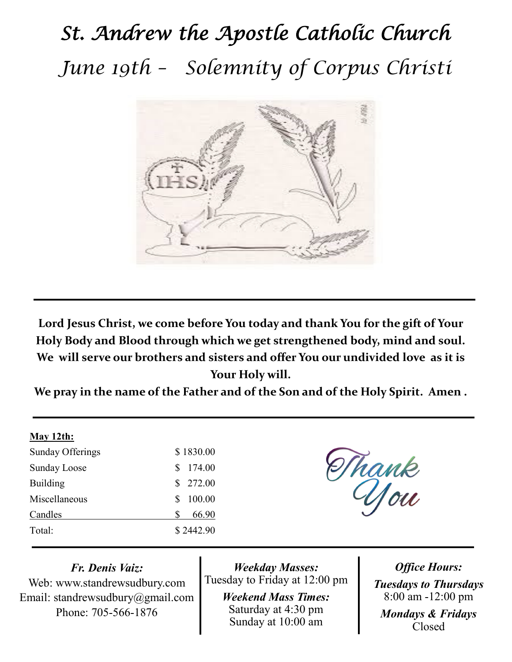# *St. Andrew the Apostle Catholic Church June 19th – Solemnity of Corpus Christi*



**Lord Jesus Christ, we come before You today and thank You for the gift of Your Holy Body and Blood through which we get strengthened body, mind and soul. We will serve our brothers and sisters and offer You our undivided love as it is Your Holy will.** 

**We pray in the name of the Father and of the Son and of the Holy Spirit. Amen .**

#### **May 12th:**

| Sunday Offerings    |    | \$1830.00 |
|---------------------|----|-----------|
| <b>Sunday Loose</b> | S. | 174.00    |
| <b>Building</b>     |    | \$ 272.00 |
| Miscellaneous       | Я  | 100.00    |
| Candles             | S  | 66.90     |
| Total:              |    | \$2442.90 |

Thank<br>Uou

*Fr. Denis Vaiz:* Web: www.standrewsudbury.com Email: standrewsudbury@gmail.com Phone: 705-566-1876

*Weekday Masses:* Tuesday to Friday at 12:00 pm

> *Weekend Mass Times:*  Saturday at 4:30 pm Sunday at 10:00 am

*Office Hours: Tuesdays to Thursdays* 8:00 am -12:00 pm *Mondays & Fridays* Closed